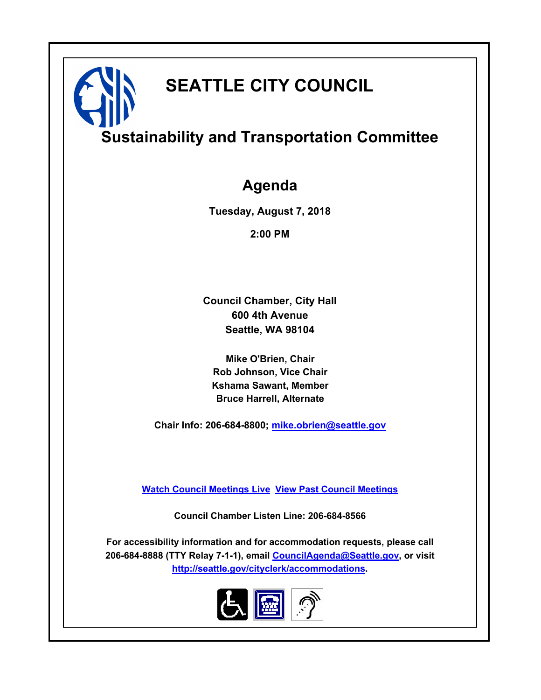# **SEATTLE CITY COUNCIL**

# **Sustainability and Transportation Committee**

# **Agenda**

**Tuesday, August 7, 2018**

**2:00 PM**

**Council Chamber, City Hall 600 4th Avenue Seattle, WA 98104**

**Mike O'Brien, Chair Rob Johnson, Vice Chair Kshama Sawant, Member Bruce Harrell, Alternate**

**Chair Info: 206-684-8800; [mike.obrien@seattle.gov](mailto:mike.obrien@seattle.gov)**

**[Watch Council Meetings Live](http://www.seattle.gov/council/councillive.htm) [View Past Council Meetings](http://www.seattlechannel.org/videos/browseVideos.asp?topic=council)**

**Council Chamber Listen Line: 206-684-8566**

**For accessibility information and for accommodation requests, please call 206-684-8888 (TTY Relay 7-1-1), email [CouncilAgenda@Seattle.gov](mailto:CouncilAgenda@Seattle.gov), or visit <http://seattle.gov/cityclerk/accommodations>.**

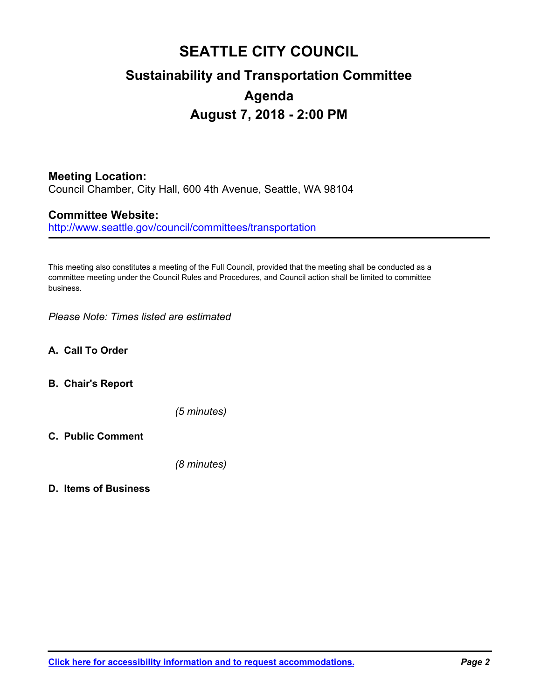# **SEATTLE CITY COUNCIL Sustainability and Transportation Committee Agenda August 7, 2018 - 2:00 PM**

# **Meeting Location:**

Council Chamber, City Hall, 600 4th Avenue, Seattle, WA 98104

## **Committee Website:**

http://www.seattle.gov/council/committees/transportation

This meeting also constitutes a meeting of the Full Council, provided that the meeting shall be conducted as a committee meeting under the Council Rules and Procedures, and Council action shall be limited to committee business.

*Please Note: Times listed are estimated*

- **A. Call To Order**
- **B. Chair's Report**

*(5 minutes)*

**C. Public Comment**

*(8 minutes)*

#### **D. Items of Business**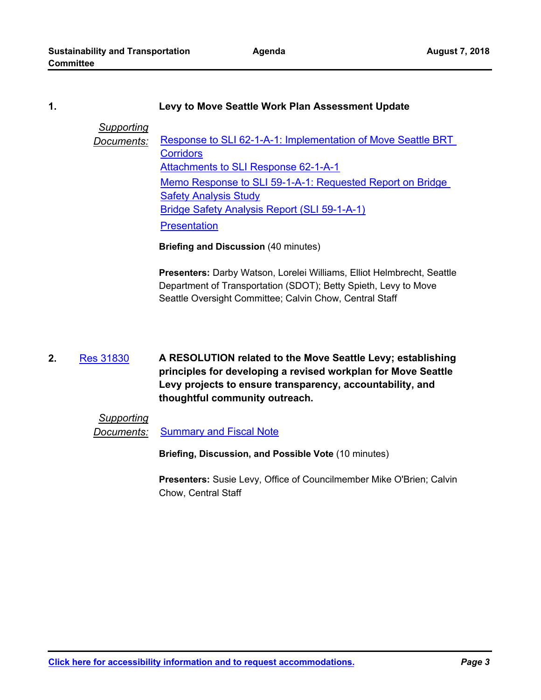#### **1. Levy to Move Seattle Work Plan Assessment Update**

#### *Supporting*

**Documents:** Response to SLI 62-1-A-1: Implementation of Move Seattle BRT **Corridors** [Attachments to SLI Response 62-1-A-1](http://seattle.legistar.com/gateway.aspx?M=F&ID=6227ca69-ae01-44a9-940b-5e5d9dd60f31.pdf) [Memo Response to SLI 59-1-A-1: Requested Report on Bridge](http://seattle.legistar.com/gateway.aspx?M=F&ID=c15fd6f3-5c27-452b-bcd1-377995ca3c71.pdf)  Safety Analysis Study [Bridge Safety Analysis Report \(SLI 59-1-A-1\)](http://seattle.legistar.com/gateway.aspx?M=F&ID=4a86a1fb-144e-4a1d-b609-e2d914473f1b.pdf) **[Presentation](http://seattle.legistar.com/gateway.aspx?M=F&ID=2072a348-0a63-49bd-a888-3baebc7d5f03.pdf)** 

**Briefing and Discussion** (40 minutes)

**Presenters:** Darby Watson, Lorelei Williams, Elliot Helmbrecht, Seattle Department of Transportation (SDOT); Betty Spieth, Levy to Move Seattle Oversight Committee; Calvin Chow, Central Staff

#### **A RESOLUTION related to the Move Seattle Levy; establishing principles for developing a revised workplan for Move Seattle Levy projects to ensure transparency, accountability, and thoughtful community outreach. 2.** [Res 31830](http://seattle.legistar.com/gateway.aspx?m=l&id=/matter.aspx?key=7406)

## *Supporting*

**Documents:** [Summary and Fiscal Note](http://seattle.legistar.com/gateway.aspx?M=F&ID=1cea86ff-fccc-4f25-b089-f0024f3af09e.docx)

**Briefing, Discussion, and Possible Vote** (10 minutes)

**Presenters:** Susie Levy, Office of Councilmember Mike O'Brien; Calvin Chow, Central Staff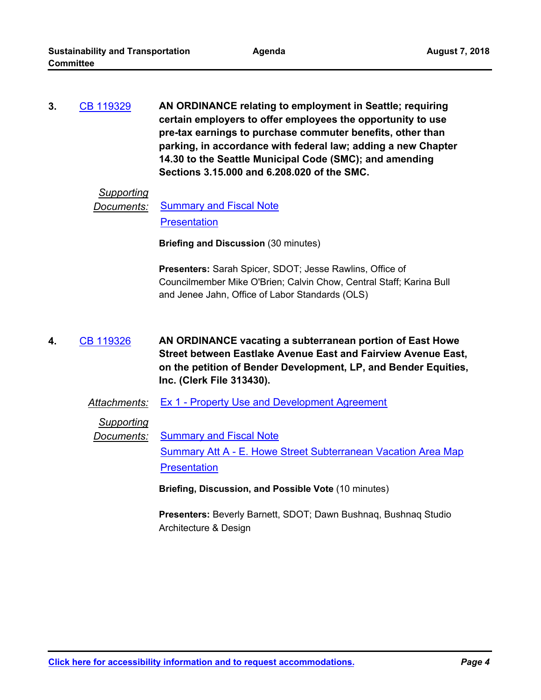**AN ORDINANCE relating to employment in Seattle; requiring certain employers to offer employees the opportunity to use pre-tax earnings to purchase commuter benefits, other than parking, in accordance with federal law; adding a new Chapter 14.30 to the Seattle Municipal Code (SMC); and amending Sections 3.15.000 and 6.208.020 of the SMC. 3.** [CB 119329](http://seattle.legistar.com/gateway.aspx?m=l&id=/matter.aspx?key=7413)

# *Supporting*

```
Documents:Summary and Fiscal Note
Presentation
```
**Briefing and Discussion** (30 minutes)

**Presenters:** Sarah Spicer, SDOT; Jesse Rawlins, Office of Councilmember Mike O'Brien; Calvin Chow, Central Staff; Karina Bull and Jenee Jahn, Office of Labor Standards (OLS)

**AN ORDINANCE vacating a subterranean portion of East Howe Street between Eastlake Avenue East and Fairview Avenue East, on the petition of Bender Development, LP, and Bender Equities, Inc. (Clerk File 313430). 4.** [CB 119326](http://seattle.legistar.com/gateway.aspx?m=l&id=/matter.aspx?key=7243)

*Attachments:* [Ex 1 - Property Use and Development Agreement](http://seattle.legistar.com/gateway.aspx?M=F&ID=1779c07a-a53d-4681-8c5a-01548b059368.pdf)

*Supporting*

**Documents:** [Summary and Fiscal Note](http://seattle.legistar.com/gateway.aspx?M=F&ID=78537342-e134-4d7d-9ebd-7b59e1dc5905.docx)

[Summary Att A - E. Howe Street Subterranean Vacation Area Map](http://seattle.legistar.com/gateway.aspx?M=F&ID=4c7348ef-a462-4fac-85ff-86e96651feda.pdf) **[Presentation](http://seattle.legistar.com/gateway.aspx?M=F&ID=39eef5f4-10d9-4641-a985-f6b77021b225.pdf)** 

**Briefing, Discussion, and Possible Vote** (10 minutes)

**Presenters:** Beverly Barnett, SDOT; Dawn Bushnaq, Bushnaq Studio Architecture & Design